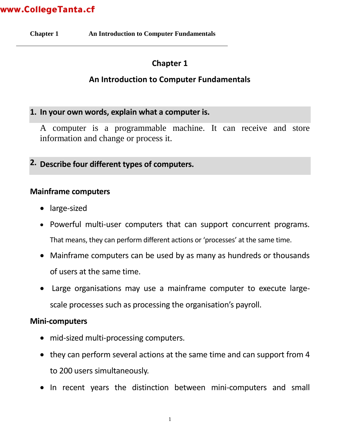**Chapter 1 An Introduction to Computer Fundamentals** 

### **Chapter 1**

### **An Introduction to Computer Fundamentals**

#### **1. In your own words, explain what a computer is.**

A computer is a programmable machine. It can receive and store information and change or process it.

**2. Describe four different types of computers.**

#### **Mainframe computers**

- large-sized
- Powerful multi-user computers that can support concurrent programs. That means, they can perform different actions or 'processes' at the same time.
- Mainframe computers can be used by as many as hundreds or thousands of users at the same time.
- Large organisations may use a mainframe computer to execute largescale processes such as processing the organisation's payroll.

#### **Mini-computers**

- mid-sized multi-processing computers.
- they can perform several actions at the same time and can support from 4 to 200 users simultaneously.
- In recent years the distinction between mini-computers and small

1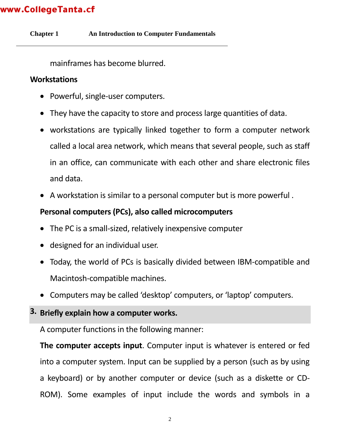**Chapter 1 An Introduction to Computer Fundamentals** 

mainframes has become blurred.

#### **Workstations**

- Powerful, single-user computers.
- They have the capacity to store and process large quantities of data.
- workstations are typically linked together to form a computer network called a local area network, which means that several people, such as staff in an office, can communicate with each other and share electronic files and data.
- A workstation is similar to a personal computer but is more powerful .

#### **Personal computers (PCs), also called microcomputers**

- The PC is a small-sized, relatively inexpensive computer
- designed for an individual user.
- Today, the world of PCs is basically divided between IBM-compatible and Macintosh-compatible machines.
- Computers may be called 'desktop' computers, or 'laptop' computers.

### **3. Briefly explain how a computer works.**

A computer functions in the following manner:

**The computer accepts input**. Computer input is whatever is entered or fed into a computer system. Input can be supplied by a person (such as by using a keyboard) or by another computer or device (such as a diskette or CD-ROM). Some examples of input include the words and symbols in a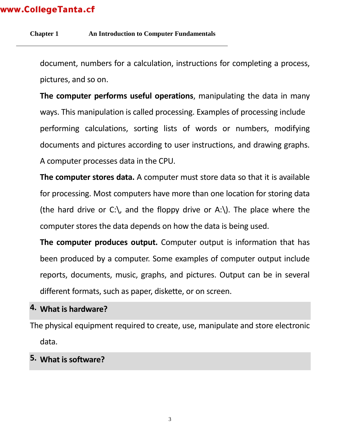#### **Chapter 1 An Introduction to Computer Fundamentals**

document, numbers for a calculation, instructions for completing a process, pictures, and so on.

**The computer performs useful operations**, manipulating the data in many ways. This manipulation is called processing. Examples of processing include performing calculations, sorting lists of words or numbers, modifying documents and pictures according to user instructions, and drawing graphs. A computer processes data in the CPU.

**The computer stores data.** A computer must store data so that it is available for processing. Most computers have more than one location for storing data (the hard drive or C:), and the floppy drive or A:). The place where the computer stores the data depends on how the data is being used.

**The computer produces output.** Computer output is information that has been produced by a computer. Some examples of computer output include reports, documents, music, graphs, and pictures. Output can be in several different formats, such as paper, diskette, or on screen.

#### **4. What is hardware?**

The physical equipment required to create, use, manipulate and store electronic data.

#### **5. What is software?**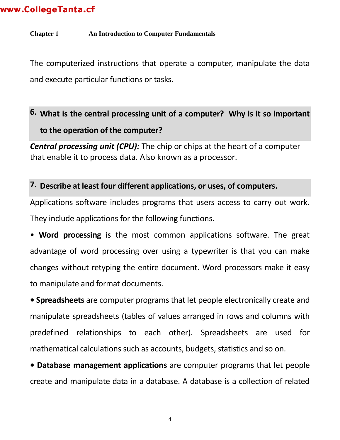**Chapter 1 An Introduction to Computer Fundamentals** 

The computerized instructions that operate a computer, manipulate the data and execute particular functions or tasks.

# **6. What is the central processing unit of a computer? Why is it so important to the operation of the computer?**

*Central processing unit (CPU):* The chip or chips at the heart of a computer that enable it to process data. Also known as a processor.

#### **7. Describe at least four different applications, or uses, of computers.**

Applications software includes programs that users access to carry out work. They include applications for the following functions.

• **Word processing** is the most common applications software. The great advantage of word processing over using a typewriter is that you can make changes without retyping the entire document. Word processors make it easy to manipulate and format documents.

**• Spreadsheets** are computer programs that let people electronically create and manipulate spreadsheets (tables of values arranged in rows and columns with predefined relationships to each other). Spreadsheets are used for mathematical calculations such as accounts, budgets, statistics and so on.

**• Database management applications** are computer programs that let people create and manipulate data in a database. A database is a collection of related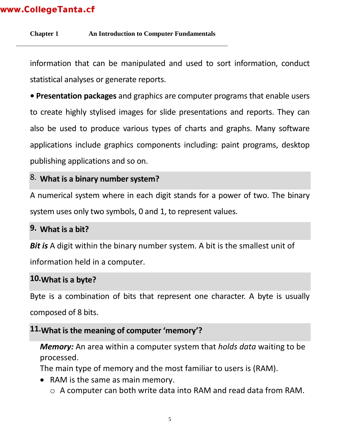**Chapter 1 An Introduction to Computer Fundamentals** 

information that can be manipulated and used to sort information, conduct statistical analyses or generate reports.

**• Presentation packages** and graphics are computer programs that enable users to create highly stylised images for slide presentations and reports. They can also be used to produce various types of charts and graphs. Many software applications include graphics components including: paint programs, desktop publishing applications and so on.

#### 8. **What is a binary number system?**

A numerical system where in each digit stands for a power of two. The binary system uses only two symbols, 0 and 1, to represent values.

#### **9. What is a bit?**

**Bit is** A digit within the binary number system. A bit is the smallest unit of information held in a computer.

#### **10.What is a byte?**

Byte is a combination of bits that represent one character. A byte is usually composed of 8 bits.

### **11.What is the meaning of computer 'memory'?**

*Memory:* An area within a computer system that *holds data* waiting to be processed.

The main type of memory and the most familiar to users is (RAM).

- RAM is the same as main memory.
	- o A computer can both write data into RAM and read data from RAM.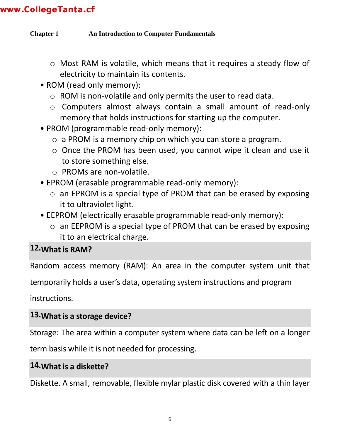**Chapter 1 An Introduction to Computer Fundamentals** 

- o Most RAM is volatile, which means that it requires a steady flow of electricity to maintain its contents.
- ROM (read only memory):
	- o ROM is non-volatile and only permits the user to read data.
	- o Computers almost always contain a small amount of read-only memory that holds instructions for starting up the computer.
- PROM (programmable read-only memory):
	- o a PROM is a memory chip on which you can store a program.
	- o Once the PROM has been used, you cannot wipe it clean and use it to store something else.
	- o PROMs are non-volatile.
- EPROM (erasable programmable read-only memory):
	- o an EPROM is a special type of PROM that can be erased by exposing it to ultraviolet light.
- EEPROM (electrically erasable programmable read-only memory):
	- o an EEPROM is a special type of PROM that can be erased by exposing it to an electrical charge.

### **12.What is RAM?**

Random access memory (RAM): An area in the computer system unit that

temporarily holds a user's data, operating system instructions and program

instructions.

### **13.What is a storage device?**

Storage: The area within a computer system where data can be left on a longer

term basis while it is not needed for processing.

### **14.What is a diskette?**

Diskette. A small, removable, flexible mylar plastic disk covered with a thin layer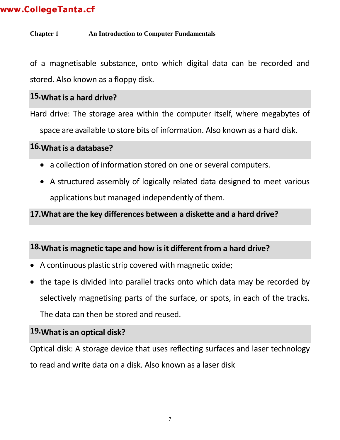#### **Chapter 1 An Introduction to Computer Fundamentals**

of a magnetisable substance, onto which digital data can be recorded and stored. Also known as a floppy disk.

### **15.What is a hard drive?**

Hard drive: The storage area within the computer itself, where megabytes of

space are available to store bits of information. Also known as a hard disk.

#### **16.What is a database?**

- a collection of information stored on one or several computers.
- A structured assembly of logically related data designed to meet various applications but managed independently of them.

#### **17.What are the key differences between a diskette and a hard drive?**

#### **18.What is magnetic tape and how is it different from a hard drive?**

- A continuous plastic strip covered with magnetic oxide;
- the tape is divided into parallel tracks onto which data may be recorded by selectively magnetising parts of the surface, or spots, in each of the tracks. The data can then be stored and reused.

### **19.What is an optical disk?**

Optical disk: A storage device that uses reflecting surfaces and laser technology to read and write data on a disk. Also known as a laser disk